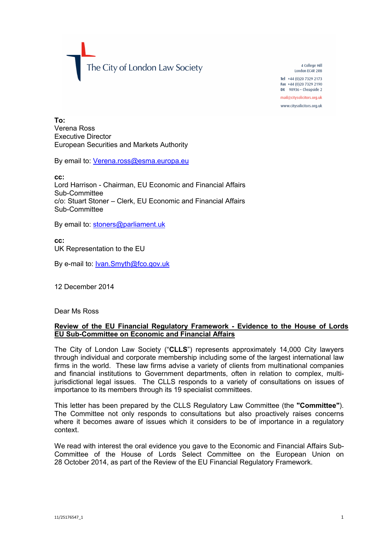The City of London Law Society

4 College Hill London FC4R 2RB Tel +44 (0) 20 7329 2173 Fax +44 (0)20 7329 2190 DX  $98936 -$  Cheapside 2 mail@citysolicitors.org.uk

www.citysolicitors.org.uk

**To:** Verena Ross Executive Director European Securities and Markets Authority

By email to: [Verena.ross@esma.europa.eu](mailto:Verena.ross@esma.europa.eu)

**cc:**

Lord Harrison - Chairman, EU Economic and Financial Affairs Sub-Committee c/o: Stuart Stoner – Clerk, EU Economic and Financial Affairs Sub-Committee

By email to: [stoners@parliament.uk](mailto:stoners@parliament.uk)

**cc:** UK Representation to the EU

By e-mail to: [Ivan.Smyth@fco.gov.uk](mailto:Ivan.Smyth@fco.gov.uk)

12 December 2014

Dear Ms Ross

## **Review of the EU Financial Regulatory Framework - Evidence to the House of Lords EU Sub-Committee on Economic and Financial Affairs**

The City of London Law Society ("**CLLS**") represents approximately 14,000 City lawyers through individual and corporate membership including some of the largest international law firms in the world. These law firms advise a variety of clients from multinational companies and financial institutions to Government departments, often in relation to complex, multijurisdictional legal issues. The CLLS responds to a variety of consultations on issues of importance to its members through its 19 specialist committees.

This letter has been prepared by the CLLS Regulatory Law Committee (the **"Committee"**). The Committee not only responds to consultations but also proactively raises concerns where it becomes aware of issues which it considers to be of importance in a regulatory context.

We read with interest the oral evidence you gave to the Economic and Financial Affairs Sub-Committee of the House of Lords Select Committee on the European Union on 28 October 2014, as part of the Review of the EU Financial Regulatory Framework.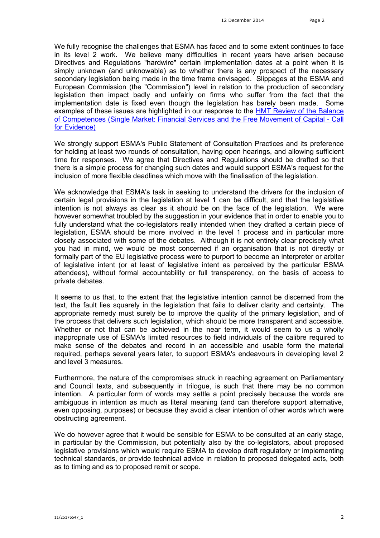We fully recognise the challenges that ESMA has faced and to some extent continues to face in its level 2 work. We believe many difficulties in recent years have arisen because Directives and Regulations "hardwire" certain implementation dates at a point when it is simply unknown (and unknowable) as to whether there is any prospect of the necessary secondary legislation being made in the time frame envisaged. Slippages at the ESMA and European Commission (the "Commission") level in relation to the production of secondary legislation then impact badly and unfairly on firms who suffer from the fact that the implementation date is fixed even though the legislation has barely been made. Some examples of these issues are highlighted in our response to the HMT Review of the Balance [of Competences \(Single Market: Financial Services and the Free Movement of Capital -](http://www.citysolicitors.org.uk/attachments/article/106/20140217 -v6-CLLSR_-_Response_to_HMT_Review_of_the_Balance_of_Compet.pdf) Call for Evidence)

We strongly support ESMA's Public Statement of Consultation Practices and its preference for holding at least two rounds of consultation, having open hearings, and allowing sufficient time for responses. We agree that Directives and Regulations should be drafted so that there is a simple process for changing such dates and would support ESMA's request for the inclusion of more flexible deadlines which move with the finalisation of the legislation.

We acknowledge that ESMA's task in seeking to understand the drivers for the inclusion of certain legal provisions in the legislation at level 1 can be difficult, and that the legislative intention is not always as clear as it should be on the face of the legislation. We were however somewhat troubled by the suggestion in your evidence that in order to enable you to fully understand what the co-legislators really intended when they drafted a certain piece of legislation, ESMA should be more involved in the level 1 process and in particular more closely associated with some of the debates. Although it is not entirely clear precisely what you had in mind, we would be most concerned if an organisation that is not directly or formally part of the EU legislative process were to purport to become an interpreter or arbiter of legislative intent (or at least of legislative intent as perceived by the particular ESMA attendees), without formal accountability or full transparency, on the basis of access to private debates.

It seems to us that, to the extent that the legislative intention cannot be discerned from the text, the fault lies squarely in the legislation that fails to deliver clarity and certainty. The appropriate remedy must surely be to improve the quality of the primary legislation, and of the process that delivers such legislation, which should be more transparent and accessible. Whether or not that can be achieved in the near term, it would seem to us a wholly inappropriate use of ESMA's limited resources to field individuals of the calibre required to make sense of the debates and record in an accessible and usable form the material required, perhaps several years later, to support ESMA's endeavours in developing level 2 and level 3 measures.

Furthermore, the nature of the compromises struck in reaching agreement on Parliamentary and Council texts, and subsequently in trilogue, is such that there may be no common intention. A particular form of words may settle a point precisely because the words are ambiguous in intention as much as literal meaning (and can therefore support alternative, even opposing, purposes) or because they avoid a clear intention of other words which were obstructing agreement.

We do however agree that it would be sensible for ESMA to be consulted at an early stage, in particular by the Commission, but potentially also by the co-legislators, about proposed legislative provisions which would require ESMA to develop draft regulatory or implementing technical standards, or provide technical advice in relation to proposed delegated acts, both as to timing and as to proposed remit or scope.